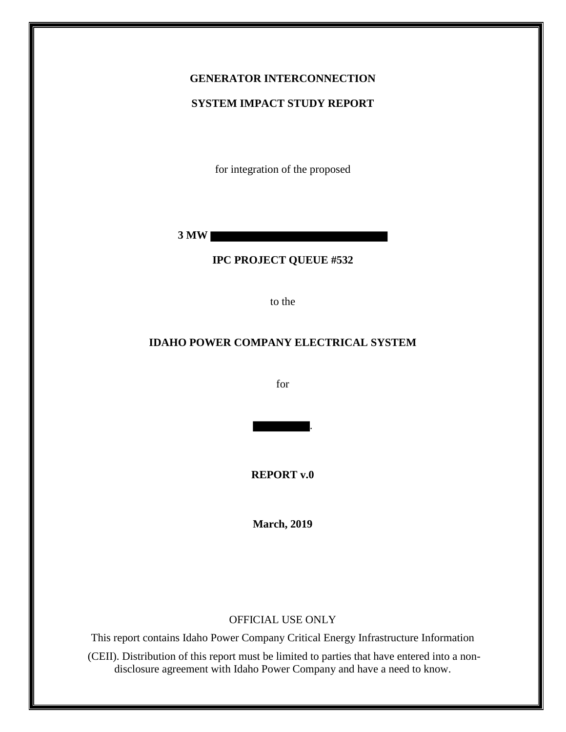# **GENERATOR INTERCONNECTION**

#### **SYSTEM IMPACT STUDY REPORT**

for integration of the proposed

**3 MW** 

### **IPC PROJECT QUEUE #532**

to the

### **IDAHO POWER COMPANY ELECTRICAL SYSTEM**

for

.

**REPORT v.0**

**March, 2019**

#### OFFICIAL USE ONLY

This report contains Idaho Power Company Critical Energy Infrastructure Information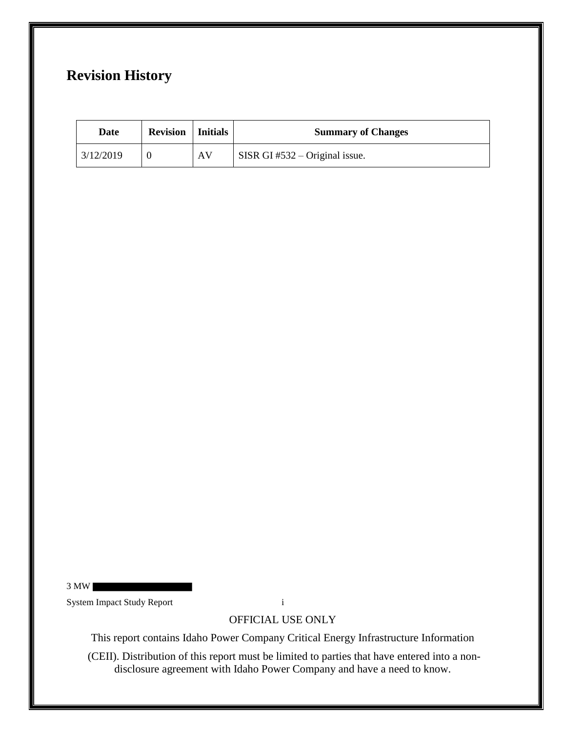## **Revision History**

| Date      | <b>Revision</b>   Initials |    | <b>Summary of Changes</b>                               |
|-----------|----------------------------|----|---------------------------------------------------------|
| 3/12/2019 |                            | AV | $\overline{\phantom{a}}$ SISR GI #532 – Original issue. |

System Impact Study Report i

3 MW

OFFICIAL USE ONLY

This report contains Idaho Power Company Critical Energy Infrastructure Information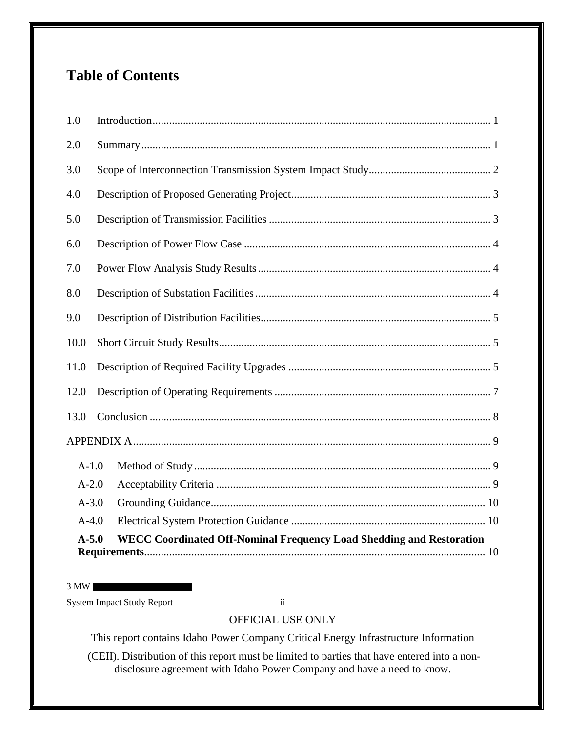## **Table of Contents**

| $A-5.0$   | <b>WECC Coordinated Off-Nominal Frequency Load Shedding and Restoration</b> |
|-----------|-----------------------------------------------------------------------------|
| $A-4.0$   |                                                                             |
| $A - 3.0$ |                                                                             |
| $A-2.0$   |                                                                             |
| $A-1.0$   |                                                                             |
|           |                                                                             |
| 13.0      |                                                                             |
| 12.0      |                                                                             |
| 11.0      |                                                                             |
| 10.0      |                                                                             |
| 9.0       |                                                                             |
| 8.0       |                                                                             |
| 7.0       |                                                                             |
| 6.0       |                                                                             |
| 5.0       |                                                                             |
| 4.0       |                                                                             |
| 3.0       |                                                                             |
| 2.0       |                                                                             |
| 1.0       |                                                                             |

3 MW

System Impact Study Report ii

## OFFICIAL USE ONLY

This report contains Idaho Power Company Critical Energy Infrastructure Information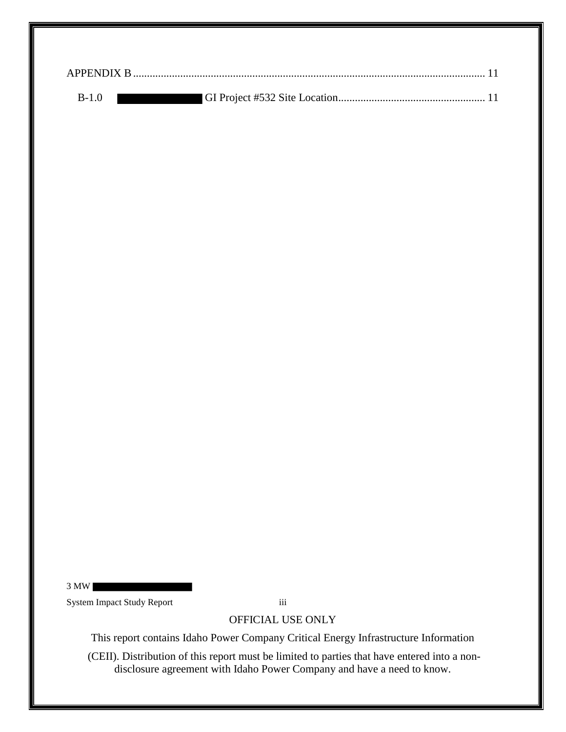| B-1.0 |  |
|-------|--|

3 MW System Impact Study Report iii

## OFFICIAL USE ONLY

This report contains Idaho Power Company Critical Energy Infrastructure Information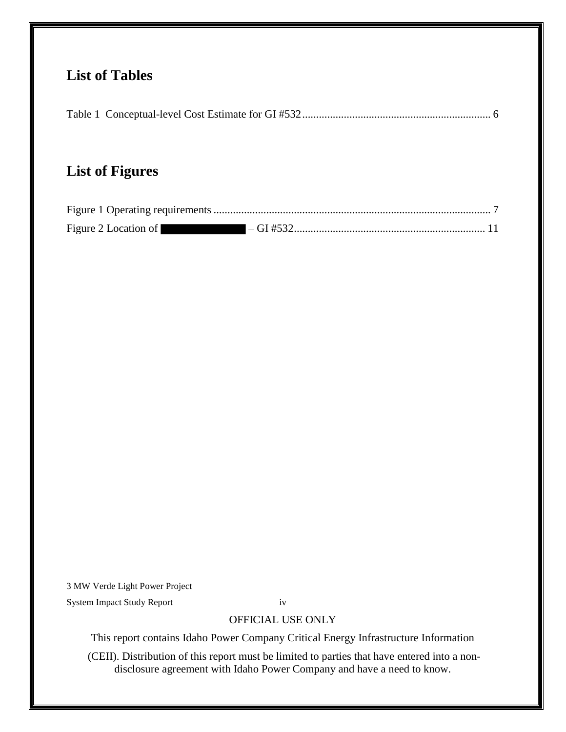## **List of Tables**

|--|--|--|

## **List of Figures**

| Figure 2 Location of |  |
|----------------------|--|

3 MW Verde Light Power Project

System Impact Study Report iv

## OFFICIAL USE ONLY

This report contains Idaho Power Company Critical Energy Infrastructure Information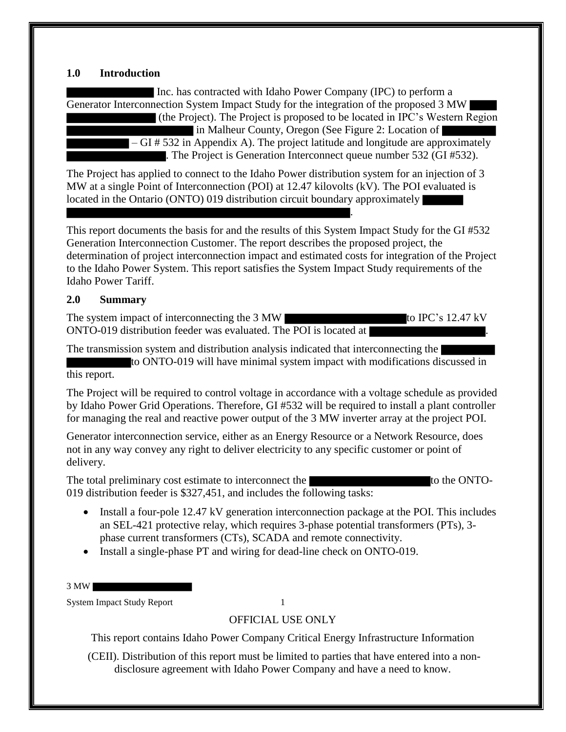#### **1.0 Introduction**

Inc. has contracted with Idaho Power Company (IPC) to perform a Generator Interconnection System Impact Study for the integration of the proposed 3 MW (the Project). The Project is proposed to be located in IPC's Western Region

in Malheur County, Oregon (See Figure 2: Location of – GI # 532 in Appendix A). The project latitude and longitude are approximately . The Project is Generation Interconnect queue number 532 (GI #532).

.

The Project has applied to connect to the Idaho Power distribution system for an injection of 3 MW at a single Point of Interconnection (POI) at 12.47 kilovolts (kV). The POI evaluated is located in the Ontario (ONTO) 019 distribution circuit boundary approximately

This report documents the basis for and the results of this System Impact Study for the GI #532 Generation Interconnection Customer. The report describes the proposed project, the determination of project interconnection impact and estimated costs for integration of the Project to the Idaho Power System. This report satisfies the System Impact Study requirements of the Idaho Power Tariff.

#### **2.0 Summary**

The system impact of interconnecting the 3 MW ONTO-019 distribution feeder was evaluated. The POI is located at

The transmission system and distribution analysis indicated that interconnecting the to ONTO-019 will have minimal system impact with modifications discussed in this report.

The Project will be required to control voltage in accordance with a voltage schedule as provided by Idaho Power Grid Operations. Therefore, GI #532 will be required to install a plant controller for managing the real and reactive power output of the 3 MW inverter array at the project POI.

Generator interconnection service, either as an Energy Resource or a Network Resource, does not in any way convey any right to deliver electricity to any specific customer or point of delivery.

The total preliminary cost estimate to interconnect the to the CNTO-019 distribution feeder is \$327,451, and includes the following tasks:

- Install a four-pole 12.47 kV generation interconnection package at the POI. This includes an SEL-421 protective relay, which requires 3-phase potential transformers (PTs), 3 phase current transformers (CTs), SCADA and remote connectivity.
- Install a single-phase PT and wiring for dead-line check on ONTO-019.
- 3 MW

System Impact Study Report 1

OFFICIAL USE ONLY

This report contains Idaho Power Company Critical Energy Infrastructure Information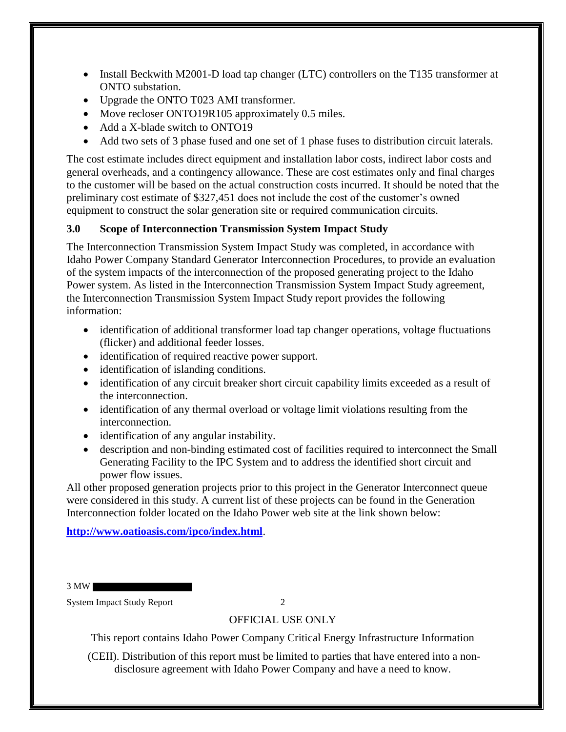- Install Beckwith M2001-D load tap changer (LTC) controllers on the T135 transformer at ONTO substation.
- Upgrade the ONTO T023 AMI transformer.
- Move recloser ONTO19R105 approximately 0.5 miles.
- Add a X-blade switch to ONTO19
- Add two sets of 3 phase fused and one set of 1 phase fuses to distribution circuit laterals.

The cost estimate includes direct equipment and installation labor costs, indirect labor costs and general overheads, and a contingency allowance. These are cost estimates only and final charges to the customer will be based on the actual construction costs incurred. It should be noted that the preliminary cost estimate of \$327,451 does not include the cost of the customer's owned equipment to construct the solar generation site or required communication circuits.

## **3.0 Scope of Interconnection Transmission System Impact Study**

The Interconnection Transmission System Impact Study was completed, in accordance with Idaho Power Company Standard Generator Interconnection Procedures, to provide an evaluation of the system impacts of the interconnection of the proposed generating project to the Idaho Power system. As listed in the Interconnection Transmission System Impact Study agreement, the Interconnection Transmission System Impact Study report provides the following information:

- identification of additional transformer load tap changer operations, voltage fluctuations (flicker) and additional feeder losses.
- identification of required reactive power support.
- identification of islanding conditions.
- identification of any circuit breaker short circuit capability limits exceeded as a result of the interconnection.
- identification of any thermal overload or voltage limit violations resulting from the interconnection.
- identification of any angular instability.
- description and non-binding estimated cost of facilities required to interconnect the Small Generating Facility to the IPC System and to address the identified short circuit and power flow issues.

All other proposed generation projects prior to this project in the Generator Interconnect queue were considered in this study. A current list of these projects can be found in the Generation Interconnection folder located on the Idaho Power web site at the link shown below:

## **http://www.oatioasis.com/ipco/index.html**.

3 MW

System Impact Study Report 2

## OFFICIAL USE ONLY

This report contains Idaho Power Company Critical Energy Infrastructure Information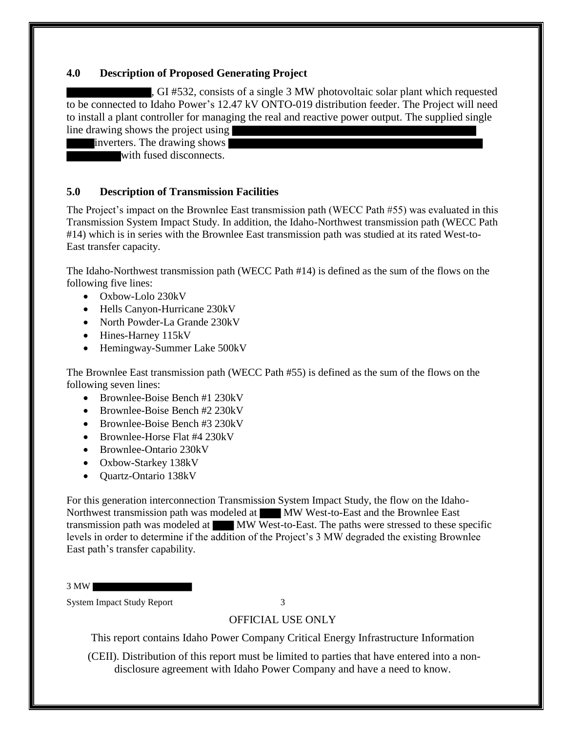#### **4.0 Description of Proposed Generating Project**

, GI #532, consists of a single 3 MW photovoltaic solar plant which requested to be connected to Idaho Power's 12.47 kV ONTO-019 distribution feeder. The Project will need to install a plant controller for managing the real and reactive power output. The supplied single line drawing shows the project using

inverters. The drawing shows

with fused disconnects.

#### **5.0 Description of Transmission Facilities**

The Project's impact on the Brownlee East transmission path (WECC Path #55) was evaluated in this Transmission System Impact Study. In addition, the Idaho-Northwest transmission path (WECC Path #14) which is in series with the Brownlee East transmission path was studied at its rated West-to-East transfer capacity.

The Idaho-Northwest transmission path (WECC Path #14) is defined as the sum of the flows on the following five lines:

- Oxbow-Lolo 230kV
- Hells Canyon-Hurricane 230kV
- North Powder-La Grande 230kV
- Hines-Harney 115kV
- Hemingway-Summer Lake 500kV

The Brownlee East transmission path (WECC Path #55) is defined as the sum of the flows on the following seven lines:

- Brownlee-Boise Bench #1 230kV
- Brownlee-Boise Bench #2 230kV
- Brownlee-Boise Bench #3 230kV
- Brownlee-Horse Flat #4 230kV
- Brownlee-Ontario 230kV
- Oxbow-Starkey 138kV
- Quartz-Ontario 138kV

For this generation interconnection Transmission System Impact Study, the flow on the Idaho-Northwest transmission path was modeled at MW West-to-East and the Brownlee East transmission path was modeled at MW West-to-East. The paths were stressed to these specific levels in order to determine if the addition of the Project's 3 MW degraded the existing Brownlee East path's transfer capability.

3 MW

System Impact Study Report 3

### OFFICIAL USE ONLY

This report contains Idaho Power Company Critical Energy Infrastructure Information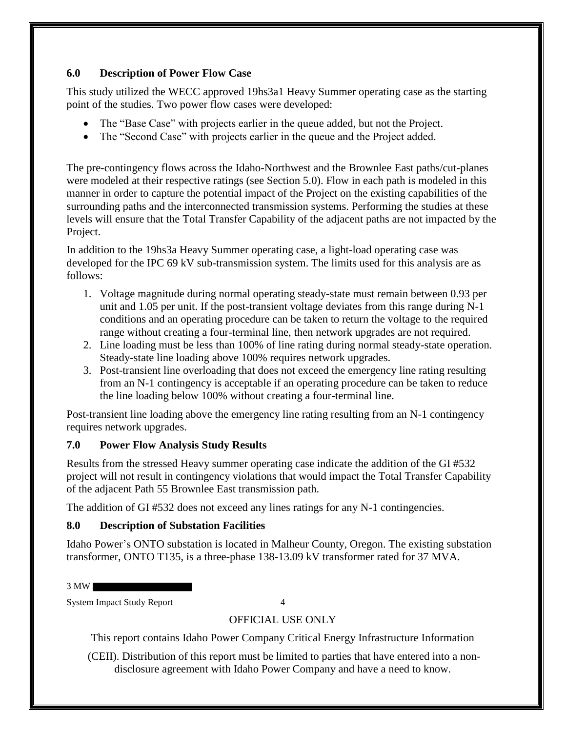### **6.0 Description of Power Flow Case**

This study utilized the WECC approved 19hs3a1 Heavy Summer operating case as the starting point of the studies. Two power flow cases were developed:

- The "Base Case" with projects earlier in the queue added, but not the Project.
- The "Second Case" with projects earlier in the queue and the Project added.

The pre-contingency flows across the Idaho-Northwest and the Brownlee East paths/cut-planes were modeled at their respective ratings (see Section 5.0). Flow in each path is modeled in this manner in order to capture the potential impact of the Project on the existing capabilities of the surrounding paths and the interconnected transmission systems. Performing the studies at these levels will ensure that the Total Transfer Capability of the adjacent paths are not impacted by the Project.

In addition to the 19hs3a Heavy Summer operating case, a light-load operating case was developed for the IPC 69 kV sub-transmission system. The limits used for this analysis are as follows:

- 1. Voltage magnitude during normal operating steady-state must remain between 0.93 per unit and 1.05 per unit. If the post-transient voltage deviates from this range during N-1 conditions and an operating procedure can be taken to return the voltage to the required range without creating a four-terminal line, then network upgrades are not required.
- 2. Line loading must be less than 100% of line rating during normal steady-state operation. Steady-state line loading above 100% requires network upgrades.
- 3. Post-transient line overloading that does not exceed the emergency line rating resulting from an N-1 contingency is acceptable if an operating procedure can be taken to reduce the line loading below 100% without creating a four-terminal line.

Post-transient line loading above the emergency line rating resulting from an N-1 contingency requires network upgrades.

## **7.0 Power Flow Analysis Study Results**

Results from the stressed Heavy summer operating case indicate the addition of the GI #532 project will not result in contingency violations that would impact the Total Transfer Capability of the adjacent Path 55 Brownlee East transmission path.

The addition of GI #532 does not exceed any lines ratings for any N-1 contingencies.

## **8.0 Description of Substation Facilities**

Idaho Power's ONTO substation is located in Malheur County, Oregon. The existing substation transformer, ONTO T135, is a three-phase 138-13.09 kV transformer rated for 37 MVA.

3 MW

System Impact Study Report 4

## OFFICIAL USE ONLY

This report contains Idaho Power Company Critical Energy Infrastructure Information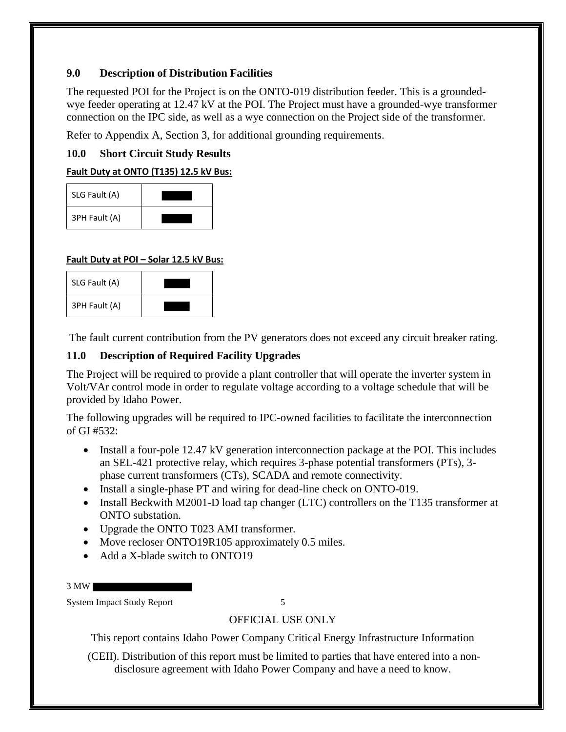## **9.0 Description of Distribution Facilities**

The requested POI for the Project is on the ONTO-019 distribution feeder. This is a groundedwye feeder operating at 12.47 kV at the POI. The Project must have a grounded-wye transformer connection on the IPC side, as well as a wye connection on the Project side of the transformer.

Refer to Appendix A, Section 3, for additional grounding requirements.

## **10.0 Short Circuit Study Results**

**Fault Duty at ONTO (T135) 12.5 kV Bus:**

| SLG Fault (A) |  |
|---------------|--|
| 3PH Fault (A) |  |

## **Fault Duty at POI – Solar 12.5 kV Bus:**

| SLG Fault (A) |  |
|---------------|--|
| 3PH Fault (A) |  |

The fault current contribution from the PV generators does not exceed any circuit breaker rating.

## **11.0 Description of Required Facility Upgrades**

The Project will be required to provide a plant controller that will operate the inverter system in Volt/VAr control mode in order to regulate voltage according to a voltage schedule that will be provided by Idaho Power.

The following upgrades will be required to IPC-owned facilities to facilitate the interconnection of GI #532:

- Install a four-pole 12.47 kV generation interconnection package at the POI. This includes an SEL-421 protective relay, which requires 3-phase potential transformers (PTs), 3 phase current transformers (CTs), SCADA and remote connectivity.
- Install a single-phase PT and wiring for dead-line check on ONTO-019.
- Install Beckwith M2001-D load tap changer (LTC) controllers on the T135 transformer at ONTO substation.
- Upgrade the ONTO T023 AMI transformer.
- Move recloser ONTO19R105 approximately 0.5 miles.
- Add a X-blade switch to ONTO19

3 MW

System Impact Study Report 5

## OFFICIAL USE ONLY

This report contains Idaho Power Company Critical Energy Infrastructure Information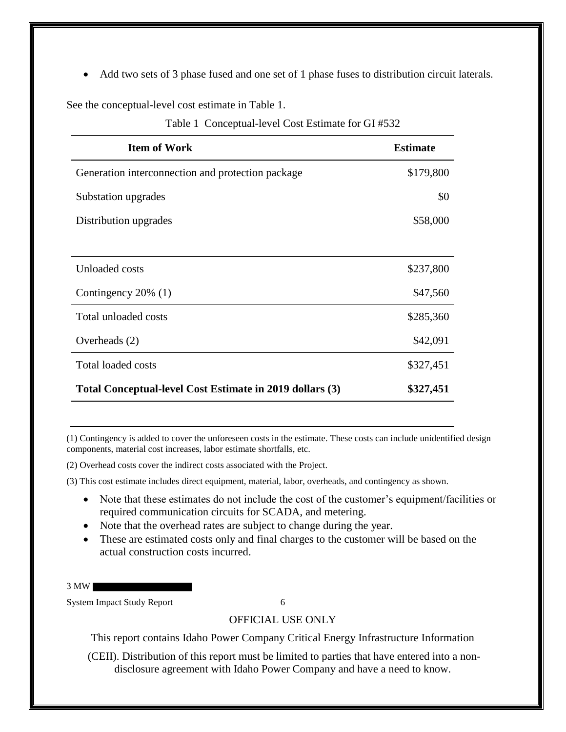• Add two sets of 3 phase fused and one set of 1 phase fuses to distribution circuit laterals.

See the conceptual-level cost estimate in Table 1.

|  |  | Table 1 Conceptual-level Cost Estimate for GI#532 |  |  |  |
|--|--|---------------------------------------------------|--|--|--|
|--|--|---------------------------------------------------|--|--|--|

| <b>Item of Work</b>                                      | <b>Estimate</b> |
|----------------------------------------------------------|-----------------|
| Generation interconnection and protection package        | \$179,800       |
| Substation upgrades                                      | \$0             |
| Distribution upgrades                                    | \$58,000        |
|                                                          |                 |
| <b>Unloaded</b> costs                                    | \$237,800       |
| Contingency 20% (1)                                      | \$47,560        |
| Total unloaded costs                                     | \$285,360       |
| Overheads (2)                                            | \$42,091        |
| <b>Total loaded costs</b>                                | \$327,451       |
| Total Conceptual-level Cost Estimate in 2019 dollars (3) | \$327,451       |

(1) Contingency is added to cover the unforeseen costs in the estimate. These costs can include unidentified design components, material cost increases, labor estimate shortfalls, etc.

(2) Overhead costs cover the indirect costs associated with the Project.

(3) This cost estimate includes direct equipment, material, labor, overheads, and contingency as shown.

- Note that these estimates do not include the cost of the customer's equipment/facilities or required communication circuits for SCADA, and metering.
- Note that the overhead rates are subject to change during the year.
- These are estimated costs only and final charges to the customer will be based on the actual construction costs incurred.

3 MW

System Impact Study Report 6

OFFICIAL USE ONLY

This report contains Idaho Power Company Critical Energy Infrastructure Information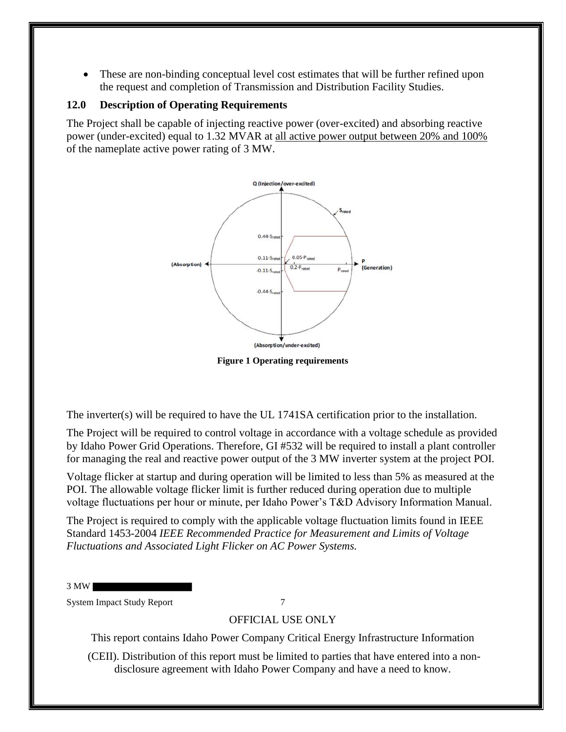• These are non-binding conceptual level cost estimates that will be further refined upon the request and completion of Transmission and Distribution Facility Studies.

### **12.0 Description of Operating Requirements**

The Project shall be capable of injecting reactive power (over-excited) and absorbing reactive power (under-excited) equal to 1.32 MVAR at all active power output between 20% and 100% of the nameplate active power rating of 3 MW.



**Figure 1 Operating requirements**

The inverter(s) will be required to have the UL 1741SA certification prior to the installation.

The Project will be required to control voltage in accordance with a voltage schedule as provided by Idaho Power Grid Operations. Therefore, GI #532 will be required to install a plant controller for managing the real and reactive power output of the 3 MW inverter system at the project POI.

Voltage flicker at startup and during operation will be limited to less than 5% as measured at the POI. The allowable voltage flicker limit is further reduced during operation due to multiple voltage fluctuations per hour or minute, per Idaho Power's T&D Advisory Information Manual.

The Project is required to comply with the applicable voltage fluctuation limits found in IEEE Standard 1453-2004 *IEEE Recommended Practice for Measurement and Limits of Voltage Fluctuations and Associated Light Flicker on AC Power Systems.* 

3 MW

System Impact Study Report 7

## OFFICIAL USE ONLY

This report contains Idaho Power Company Critical Energy Infrastructure Information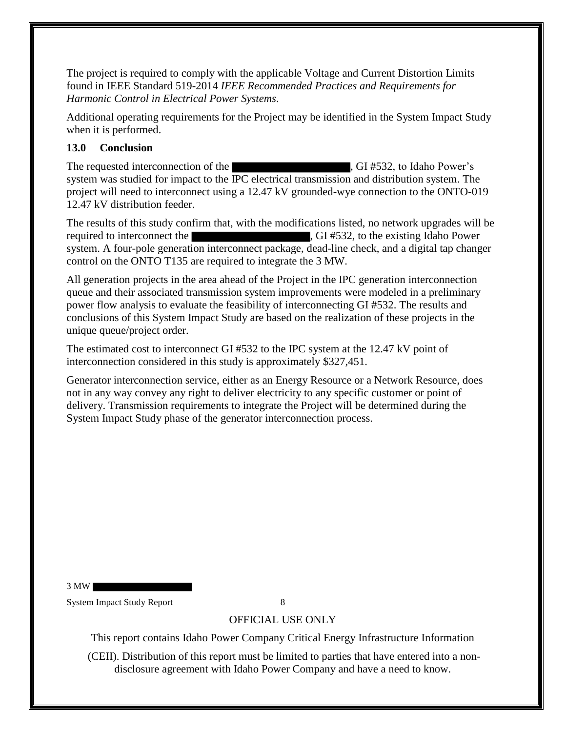The project is required to comply with the applicable Voltage and Current Distortion Limits found in IEEE Standard 519-2014 *IEEE Recommended Practices and Requirements for Harmonic Control in Electrical Power Systems*.

Additional operating requirements for the Project may be identified in the System Impact Study when it is performed.

### **13.0 Conclusion**

The requested interconnection of the  $\overline{G}$ , GI #532, to Idaho Power's system was studied for impact to the IPC electrical transmission and distribution system. The project will need to interconnect using a 12.47 kV grounded-wye connection to the ONTO-019 12.47 kV distribution feeder.

The results of this study confirm that, with the modifications listed, no network upgrades will be required to interconnect the state of the state of the existing Idaho Power system. A four-pole generation interconnect package, dead-line check, and a digital tap changer control on the ONTO T135 are required to integrate the 3 MW.

All generation projects in the area ahead of the Project in the IPC generation interconnection queue and their associated transmission system improvements were modeled in a preliminary power flow analysis to evaluate the feasibility of interconnecting GI #532. The results and conclusions of this System Impact Study are based on the realization of these projects in the unique queue/project order.

The estimated cost to interconnect GI #532 to the IPC system at the 12.47 kV point of interconnection considered in this study is approximately \$327,451.

Generator interconnection service, either as an Energy Resource or a Network Resource, does not in any way convey any right to deliver electricity to any specific customer or point of delivery. Transmission requirements to integrate the Project will be determined during the System Impact Study phase of the generator interconnection process.

3 MW

System Impact Study Report 8

## OFFICIAL USE ONLY

This report contains Idaho Power Company Critical Energy Infrastructure Information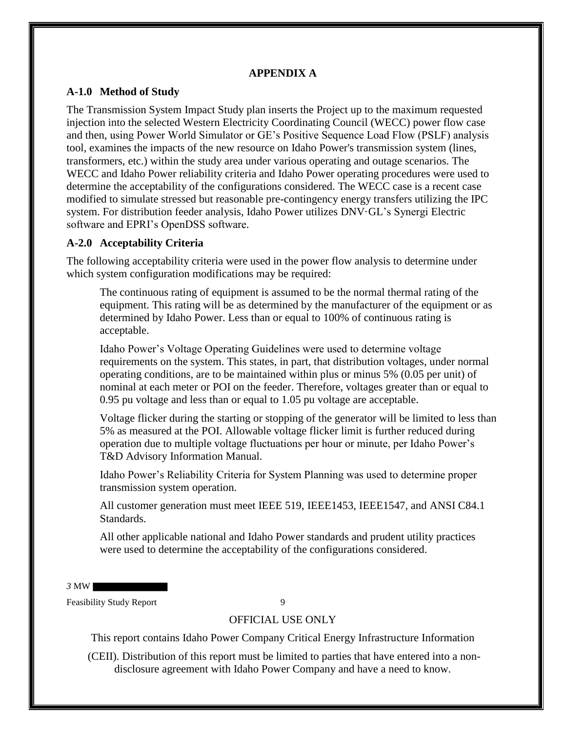#### **APPENDIX A**

#### **A-1.0 Method of Study**

The Transmission System Impact Study plan inserts the Project up to the maximum requested injection into the selected Western Electricity Coordinating Council (WECC) power flow case and then, using Power World Simulator or GE's Positive Sequence Load Flow (PSLF) analysis tool, examines the impacts of the new resource on Idaho Power's transmission system (lines, transformers, etc.) within the study area under various operating and outage scenarios. The WECC and Idaho Power reliability criteria and Idaho Power operating procedures were used to determine the acceptability of the configurations considered. The WECC case is a recent case modified to simulate stressed but reasonable pre-contingency energy transfers utilizing the IPC system. For distribution feeder analysis, Idaho Power utilizes DNV·GL's Synergi Electric software and EPRI's OpenDSS software.

### **A-2.0 Acceptability Criteria**

The following acceptability criteria were used in the power flow analysis to determine under which system configuration modifications may be required:

The continuous rating of equipment is assumed to be the normal thermal rating of the equipment. This rating will be as determined by the manufacturer of the equipment or as determined by Idaho Power. Less than or equal to 100% of continuous rating is acceptable.

Idaho Power's Voltage Operating Guidelines were used to determine voltage requirements on the system. This states, in part, that distribution voltages, under normal operating conditions, are to be maintained within plus or minus 5% (0.05 per unit) of nominal at each meter or POI on the feeder. Therefore, voltages greater than or equal to 0.95 pu voltage and less than or equal to 1.05 pu voltage are acceptable.

Voltage flicker during the starting or stopping of the generator will be limited to less than 5% as measured at the POI. Allowable voltage flicker limit is further reduced during operation due to multiple voltage fluctuations per hour or minute, per Idaho Power's T&D Advisory Information Manual.

Idaho Power's Reliability Criteria for System Planning was used to determine proper transmission system operation.

All customer generation must meet IEEE 519, IEEE1453, IEEE1547, and ANSI C84.1 Standards.

All other applicable national and Idaho Power standards and prudent utility practices were used to determine the acceptability of the configurations considered.

*3* MW

Feasibility Study Report 9

#### OFFICIAL USE ONLY

This report contains Idaho Power Company Critical Energy Infrastructure Information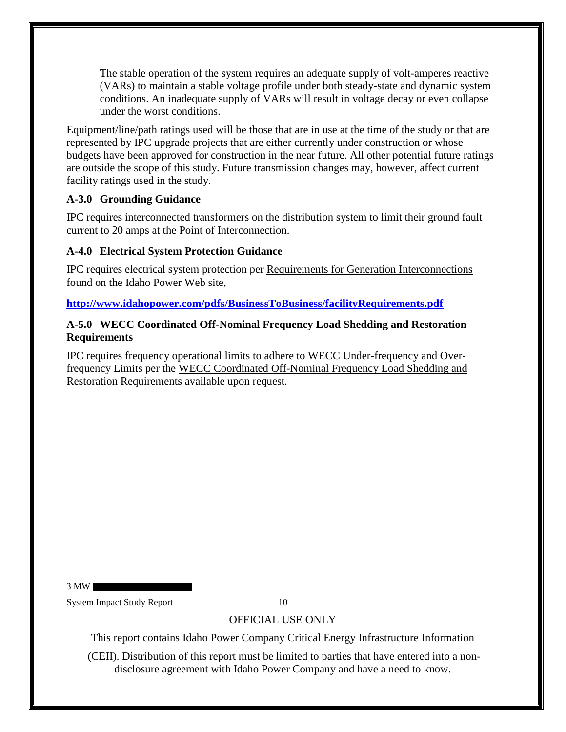The stable operation of the system requires an adequate supply of volt-amperes reactive (VARs) to maintain a stable voltage profile under both steady-state and dynamic system conditions. An inadequate supply of VARs will result in voltage decay or even collapse under the worst conditions.

Equipment/line/path ratings used will be those that are in use at the time of the study or that are represented by IPC upgrade projects that are either currently under construction or whose budgets have been approved for construction in the near future. All other potential future ratings are outside the scope of this study. Future transmission changes may, however, affect current facility ratings used in the study.

### **A-3.0 Grounding Guidance**

IPC requires interconnected transformers on the distribution system to limit their ground fault current to 20 amps at the Point of Interconnection.

## **A-4.0 Electrical System Protection Guidance**

IPC requires electrical system protection per Requirements for Generation Interconnections found on the Idaho Power Web site,

**http://www.idahopower.com/pdfs/BusinessToBusiness/facilityRequirements.pdf**

### **A-5.0 WECC Coordinated Off-Nominal Frequency Load Shedding and Restoration Requirements**

IPC requires frequency operational limits to adhere to WECC Under-frequency and Overfrequency Limits per the WECC Coordinated Off-Nominal Frequency Load Shedding and Restoration Requirements available upon request.

3 MW

System Impact Study Report 10

## OFFICIAL USE ONLY

This report contains Idaho Power Company Critical Energy Infrastructure Information